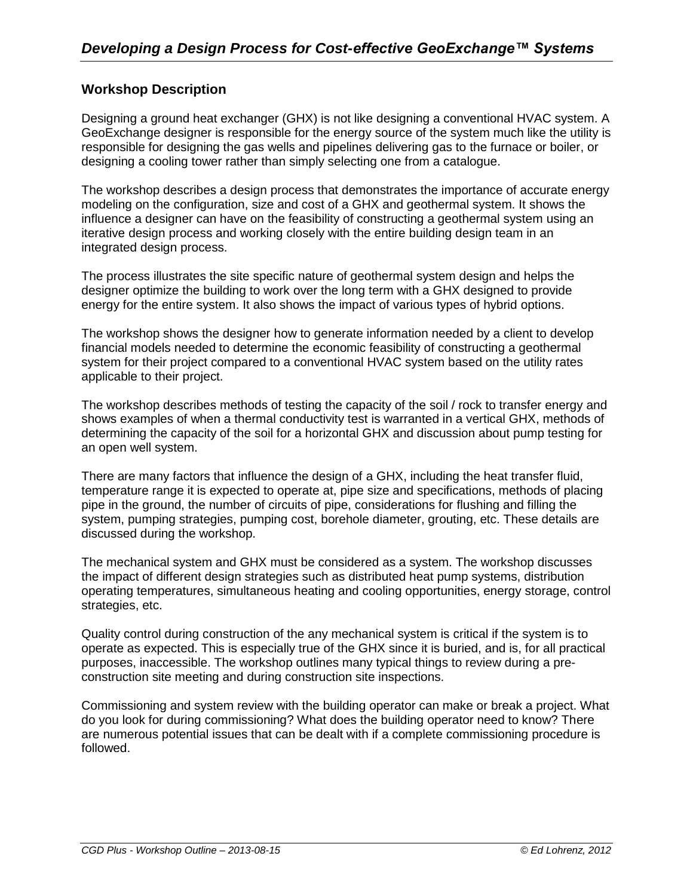## **Workshop Description**

Designing a ground heat exchanger (GHX) is not like designing a conventional HVAC system. A GeoExchange designer is responsible for the energy source of the system much like the utility is responsible for designing the gas wells and pipelines delivering gas to the furnace or boiler, or designing a cooling tower rather than simply selecting one from a catalogue.

The workshop describes a design process that demonstrates the importance of accurate energy modeling on the configuration, size and cost of a GHX and geothermal system. It shows the influence a designer can have on the feasibility of constructing a geothermal system using an iterative design process and working closely with the entire building design team in an integrated design process.

The process illustrates the site specific nature of geothermal system design and helps the designer optimize the building to work over the long term with a GHX designed to provide energy for the entire system. It also shows the impact of various types of hybrid options.

The workshop shows the designer how to generate information needed by a client to develop financial models needed to determine the economic feasibility of constructing a geothermal system for their project compared to a conventional HVAC system based on the utility rates applicable to their project.

The workshop describes methods of testing the capacity of the soil / rock to transfer energy and shows examples of when a thermal conductivity test is warranted in a vertical GHX, methods of determining the capacity of the soil for a horizontal GHX and discussion about pump testing for an open well system.

There are many factors that influence the design of a GHX, including the heat transfer fluid, temperature range it is expected to operate at, pipe size and specifications, methods of placing pipe in the ground, the number of circuits of pipe, considerations for flushing and filling the system, pumping strategies, pumping cost, borehole diameter, grouting, etc. These details are discussed during the workshop.

The mechanical system and GHX must be considered as a system. The workshop discusses the impact of different design strategies such as distributed heat pump systems, distribution operating temperatures, simultaneous heating and cooling opportunities, energy storage, control strategies, etc.

Quality control during construction of the any mechanical system is critical if the system is to operate as expected. This is especially true of the GHX since it is buried, and is, for all practical purposes, inaccessible. The workshop outlines many typical things to review during a preconstruction site meeting and during construction site inspections.

Commissioning and system review with the building operator can make or break a project. What do you look for during commissioning? What does the building operator need to know? There are numerous potential issues that can be dealt with if a complete commissioning procedure is followed.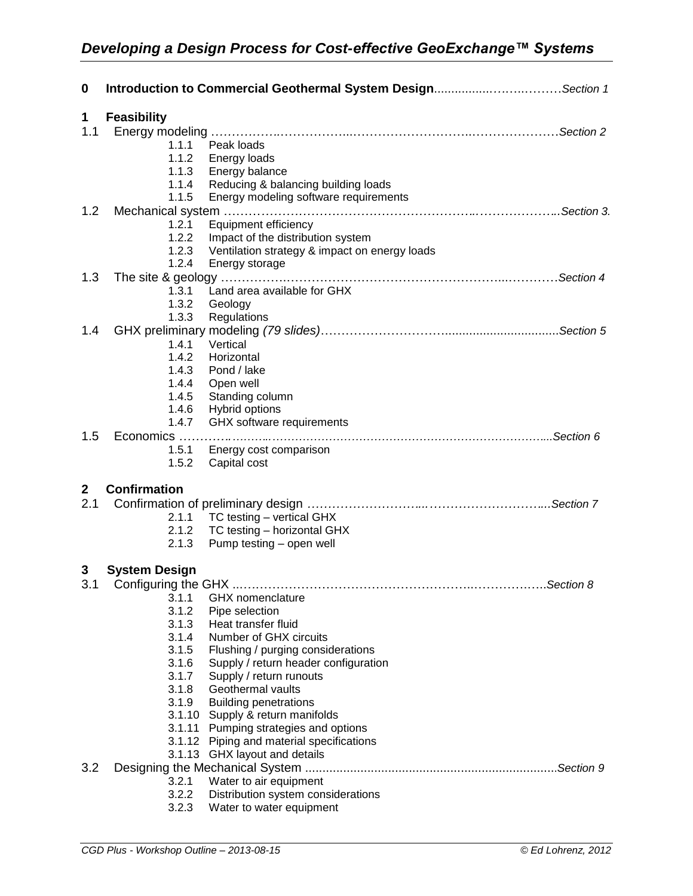| $\mathbf 0$ |                         | Introduction to Commercial Geothermal System DesignSection 1                       |            |
|-------------|-------------------------|------------------------------------------------------------------------------------|------------|
| 1           | <b>Feasibility</b>      |                                                                                    |            |
| 1.1         |                         |                                                                                    |            |
|             | 1.1.1<br>1.1.2          | Peak loads<br>Energy loads                                                         |            |
|             | 1.1.3                   | Energy balance                                                                     |            |
|             | 1.1.4                   | Reducing & balancing building loads                                                |            |
|             | 1.1.5                   | Energy modeling software requirements                                              |            |
| 1.2         |                         |                                                                                    |            |
|             | 1.2.1                   | Equipment efficiency                                                               |            |
|             | 1.2.2                   | Impact of the distribution system                                                  |            |
|             | 1.2.3                   | Ventilation strategy & impact on energy loads                                      |            |
|             | 1.2.4                   | Energy storage                                                                     |            |
| 1.3         | 1.3.1                   | Land area available for GHX                                                        |            |
|             | 1.3.2                   | Geology                                                                            |            |
|             | 1.3.3                   | Regulations                                                                        |            |
| 1.4         |                         |                                                                                    |            |
|             | 1.4.1                   | Vertical                                                                           |            |
|             | 1.4.2                   | Horizontal                                                                         |            |
|             | 1.4.3                   | Pond / lake                                                                        |            |
|             | 1.4.4                   | Open well                                                                          |            |
|             | 1.4.5<br>1.4.6          | Standing column<br>Hybrid options                                                  |            |
|             | 1.4.7                   | GHX software requirements                                                          |            |
| 1.5         |                         |                                                                                    |            |
|             | 1.5.1                   | Energy cost comparison                                                             |            |
|             | 1.5.2                   | Capital cost                                                                       |            |
| $\mathbf 2$ | <b>Confirmation</b>     |                                                                                    |            |
| 2.1         |                         |                                                                                    |            |
|             |                         | 2.1.1 TC testing - vertical GHX                                                    |            |
|             | 2.1.2                   | TC testing - horizontal GHX                                                        |            |
|             | 2.1.3                   | Pump testing - open well                                                           |            |
| 3           | <b>System Design</b>    |                                                                                    |            |
|             | 3.1 Configuring the GHX |                                                                                    | .Section 8 |
|             | 3.1.1                   | <b>GHX</b> nomenclature                                                            |            |
|             | 3.1.2<br>3.1.3          | Pipe selection<br>Heat transfer fluid                                              |            |
|             | 3.1.4                   | Number of GHX circuits                                                             |            |
|             | 3.1.5                   | Flushing / purging considerations                                                  |            |
|             | 3.1.6                   | Supply / return header configuration                                               |            |
|             | 3.1.7                   | Supply / return runouts                                                            |            |
|             | 3.1.8                   | Geothermal vaults                                                                  |            |
|             | 3.1.9                   | <b>Building penetrations</b>                                                       |            |
|             |                         | 3.1.10 Supply & return manifolds                                                   |            |
|             |                         | 3.1.11 Pumping strategies and options<br>3.1.12 Piping and material specifications |            |
|             |                         | 3.1.13 GHX layout and details                                                      |            |
| 3.2         |                         |                                                                                    |            |
|             | 3.2.1                   | Water to air equipment                                                             |            |
|             | 3.2.2                   | Distribution system considerations                                                 |            |
|             | 3.2.3                   | Water to water equipment                                                           |            |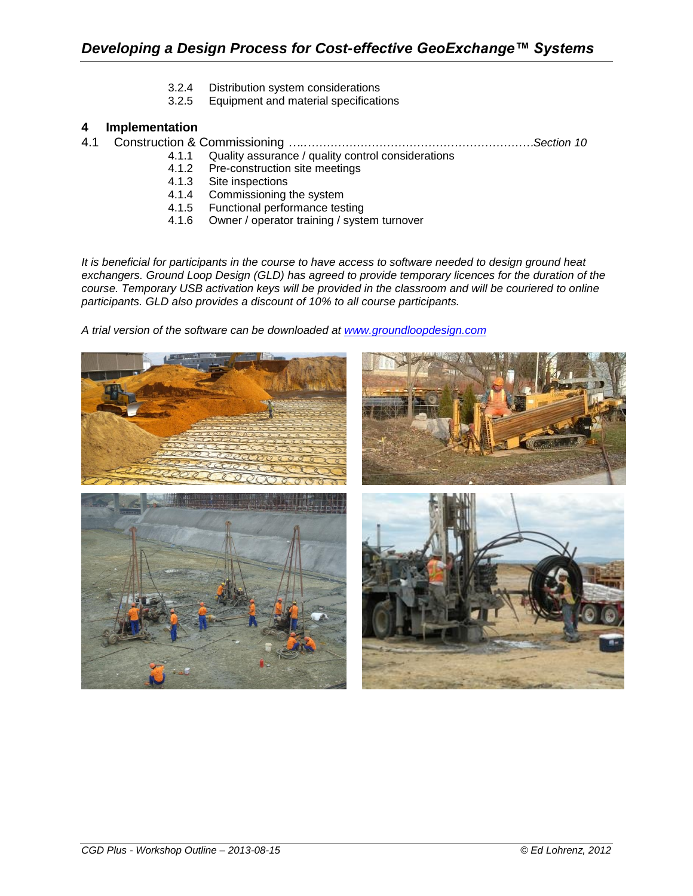- 3.2.4 Distribution system considerations
- 3.2.5 Equipment and material specifications

## **4 Implementation**

4.1 Construction & Commissioning *…..……………………………………………………Section 10*

- 4.1.1 Quality assurance / quality control considerations<br>4.1.2 Pre-construction site meetings
- Pre-construction site meetings
- 4.1.3 Site inspections
- 4.1.4 Commissioning the system
- 4.1.5 Functional performance testing
- 4.1.6 Owner / operator training / system turnover

*It is beneficial for participants in the course to have access to software needed to design ground heat exchangers. Ground Loop Design (GLD) has agreed to provide temporary licences for the duration of the course. Temporary USB activation keys will be provided in the classroom and will be couriered to online participants. GLD also provides a discount of 10% to all course participants.* 

*A trial version of the software can be downloaded at [www.groundloopdesign.com](http://www.groundloopdesign.com/)*